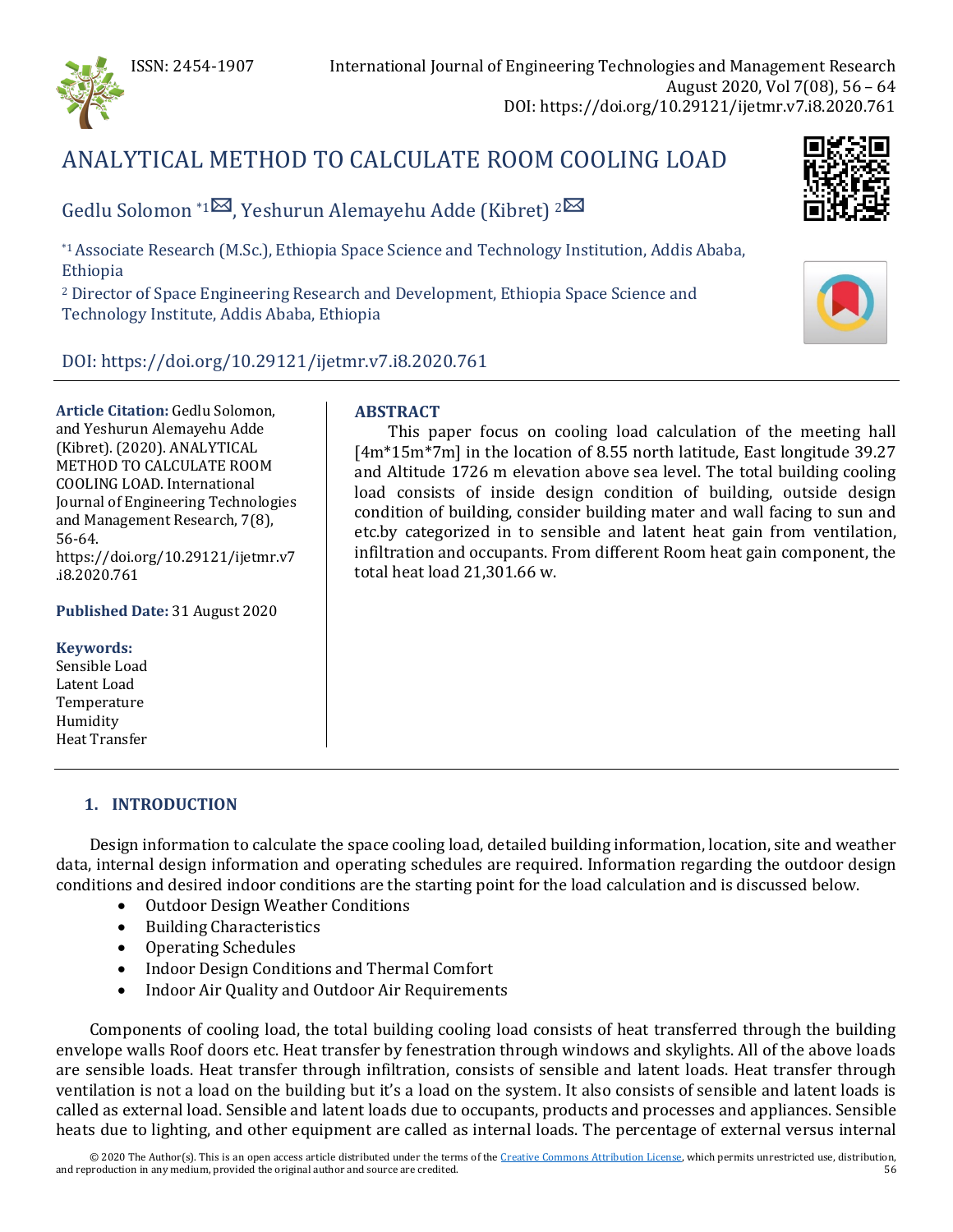

# ANALYTICAL METHOD TO CALCULATE ROOM COOLING LOAD

Gedlu Solomon \*1<sup> $\boxtimes$ </sup>, Yeshurun Alemayehu Adde (Kibret) <sup>[2](mailto:kibret10@gmail.com) $\boxtimes$ </sup>

\*1 Associate Research (M.Sc.), Ethiopia Space Science and Technology Institution, Addis Ababa, Ethiopia

<sup>2</sup> Director of Space Engineering Research and Development, Ethiopia Space Science and Technology Institute, Addis Ababa, Ethiopia

## DOI: https://doi.org/10.29121/ijetmr.v7.i8.2020.761

**Article Citation:** Gedlu Solomon, and Yeshurun Alemayehu Adde (Kibret). (2020). ANALYTICAL METHOD TO CALCULATE ROOM COOLING LOAD. International Journal of Engineering Technologies and Management Research, 7(8), 56-64. https://doi.org/10.29121/ijetmr.v7 .i8.2020.761

**Published Date:** 31 August 2020

**Keywords:** Sensible Load Latent Load Temperature Humidity Heat Transfer

#### **ABSTRACT**

This paper focus on cooling load calculation of the meeting hall [4m\*15m\*7m] in the location of 8.55 north latitude, East longitude 39.27 and Altitude 1726 m elevation above sea level. The total building cooling load consists of inside design condition of building, outside design condition of building, consider building mater and wall facing to sun and etc.by categorized in to sensible and latent heat gain from ventilation, infiltration and occupants. From different Room heat gain component, the total heat load 21,301.66 w.

#### **1. INTRODUCTION**

Design information to calculate the space cooling load, detailed building information, location, site and weather data, internal design information and operating schedules are required. Information regarding the outdoor design conditions and desired indoor conditions are the starting point for the load calculation and is discussed below.

- Outdoor Design Weather Conditions
- Building Characteristics
- Operating Schedules
- Indoor Design Conditions and Thermal Comfort
- Indoor Air Quality and Outdoor Air Requirements

Components of cooling load, the total building cooling load consists of heat transferred through the building envelope walls Roof doors etc. Heat transfer by fenestration through windows and skylights. All of the above loads are sensible loads. Heat transfer through infiltration, consists of sensible and latent loads. Heat transfer through ventilation is not a load on the building but it's a load on the system. It also consists of sensible and latent loads is called as external load. Sensible and latent loads due to occupants, products and processes and appliances. Sensible heats due to lighting, and other equipment are called as internal loads. The percentage of external versus internal

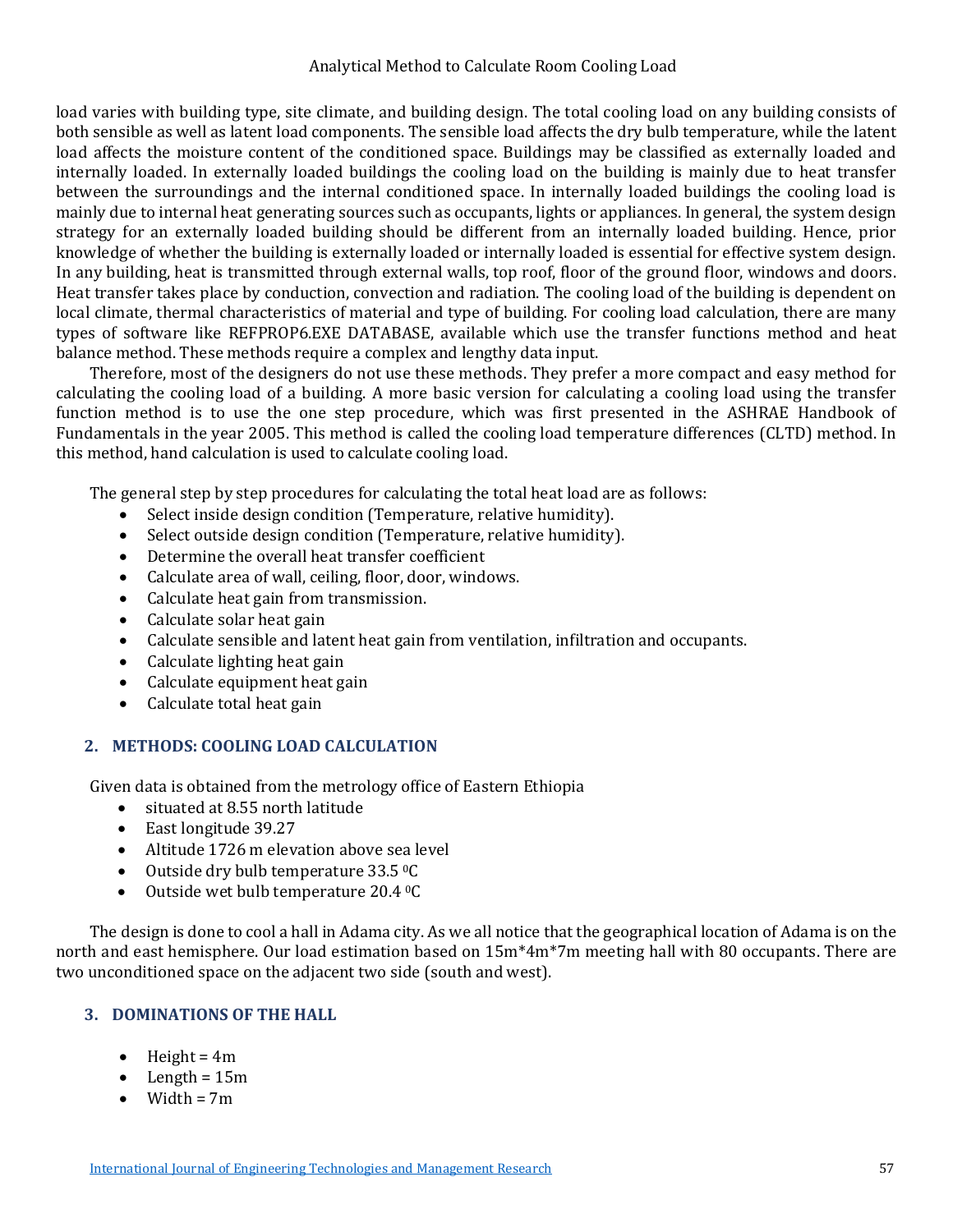#### Analytical Method to Calculate Room Cooling Load

load varies with building type, site climate, and building design. The total cooling load on any building consists of both sensible as well as latent load components. The sensible load affects the dry bulb temperature, while the latent load affects the moisture content of the conditioned space. Buildings may be classified as externally loaded and internally loaded. In externally loaded buildings the cooling load on the building is mainly due to heat transfer between the surroundings and the internal conditioned space. In internally loaded buildings the cooling load is mainly due to internal heat generating sources such as occupants, lights or appliances. In general, the system design strategy for an externally loaded building should be different from an internally loaded building. Hence, prior knowledge of whether the building is externally loaded or internally loaded is essential for effective system design. In any building, heat is transmitted through external walls, top roof, floor of the ground floor, windows and doors. Heat transfer takes place by conduction, convection and radiation. The cooling load of the building is dependent on local climate, thermal characteristics of material and type of building. For cooling load calculation, there are many types of software like REFPROP6.EXE DATABASE, available which use the transfer functions method and heat balance method. These methods require a complex and lengthy data input.

Therefore, most of the designers do not use these methods. They prefer a more compact and easy method for calculating the cooling load of a building. A more basic version for calculating a cooling load using the transfer function method is to use the one step procedure, which was first presented in the ASHRAE Handbook of Fundamentals in the year 2005. This method is called the cooling load temperature differences (CLTD) method. In this method, hand calculation is used to calculate cooling load.

The general step by step procedures for calculating the total heat load are as follows:

- Select inside design condition (Temperature, relative humidity).<br>• Select outside design condition (Temperature, relative humidity)
- Select outside design condition (Temperature, relative humidity).
- Determine the overall heat transfer coefficient
- Calculate area of wall, ceiling, floor, door, windows.<br>• Calculate heat gain from transmission.
- Calculate heat gain from transmission.
- Calculate solar heat gain
- Calculate sensible and latent heat gain from ventilation, infiltration and occupants.
- Calculate lighting heat gain<br>• Calculate equipment heat ga
- Calculate equipment heat gain
- Calculate total heat gain

#### **2. METHODS: COOLING LOAD CALCULATION**

Given data is obtained from the metrology office of Eastern Ethiopia

- situated at 8.55 north latitude
- East longitude 39.27
- Altitude 1726 m elevation above sea level
- Outside dry bulb temperature 33.5 °C
- Outside wet bulb temperature 20.4 0C

The design is done to cool a hall in Adama city. As we all notice that the geographical location of Adama is on the north and east hemisphere. Our load estimation based on 15m\*4m\*7m meeting hall with 80 occupants. There are two unconditioned space on the adjacent two side (south and west).

#### **3. DOMINATIONS OF THE HALL**

- $\bullet$  Height = 4m
- $\bullet$  Length = 15m
- $\bullet$  Width = 7m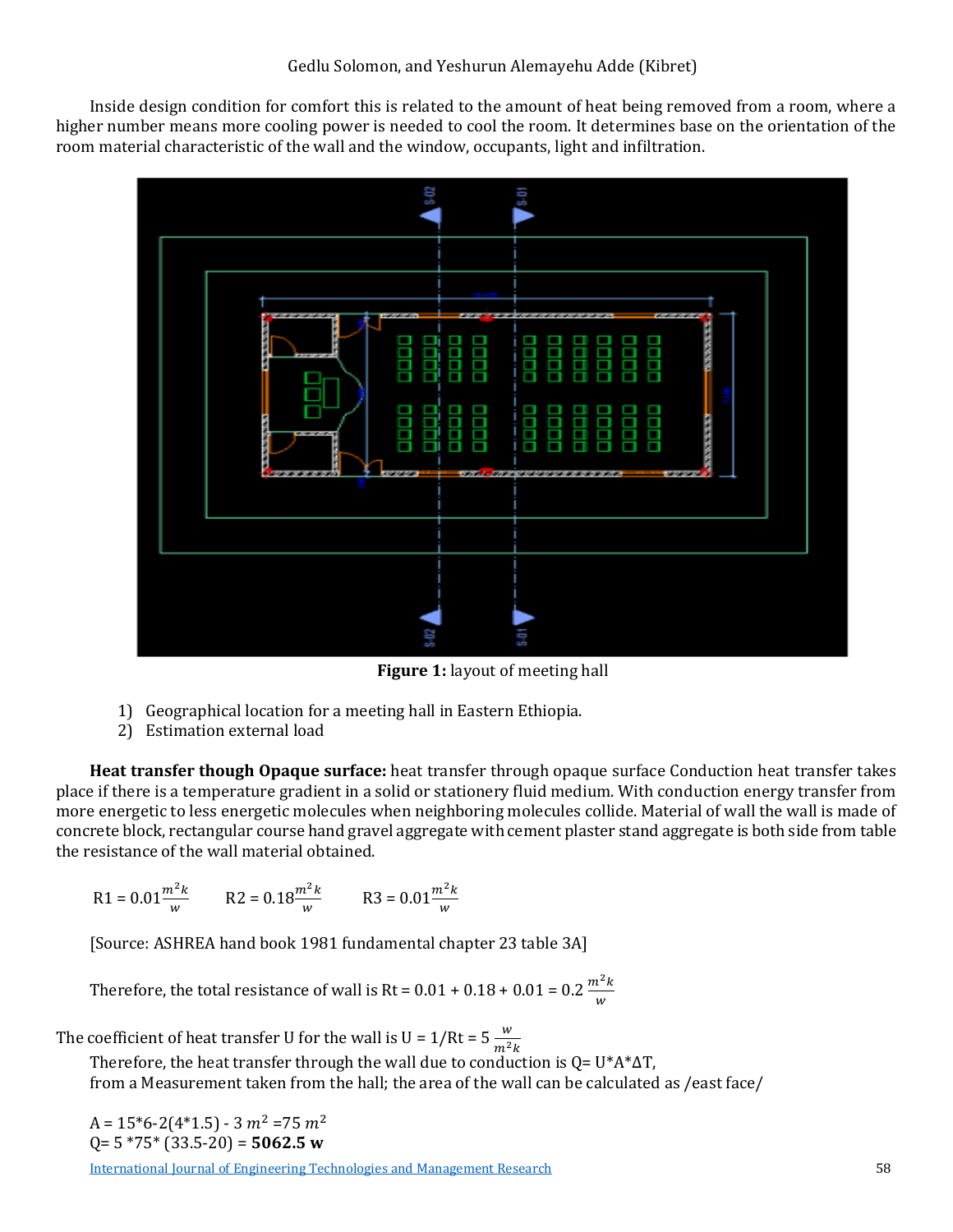Inside design condition for comfort this is related to the amount of heat being removed from a room, where a higher number means more cooling power is needed to cool the room. It determines base on the orientation of the room material characteristic of the wall and the window, occupants, light and infiltration.



**Figure 1:** layout of meeting hall

- 1) Geographical location for a meeting hall in Eastern Ethiopia.
- 2) Estimation external load

**Heat transfer though Opaque surface:** heat transfer through opaque surface Conduction heat transfer takes place if there is a temperature gradient in a solid or stationery fluid medium. With conduction energy transfer from more energetic to less energetic molecules when neighboring molecules collide. Material of wall the wall is made of concrete block, rectangular course hand gravel aggregate with cement plaster stand aggregate is both side from table the resistance of the wall material obtained.

$$
R1 = 0.01 \frac{m^2 k}{w} \qquad R2 = 0.18 \frac{m^2 k}{w} \qquad R3 = 0.01 \frac{m^2 k}{w}
$$

[Source: ASHREA hand book 1981 fundamental chapter 23 table 3A]

Therefore, the total resistance of wall is Rt =  $0.01 + 0.18 + 0.01 = 0.2 \frac{m^2 k}{w}$ 

The coefficient of heat transfer U for the wall is  $U = 1/Rt = 5 \frac{w}{m^2 k}$ 

Therefore, the heat transfer through the wall due to conduction is  $Q = U^*A^*\Delta T$ , from a Measurement taken from the hall; the area of the wall can be calculated as /east face/

 $A = 15*6-2(4*1.5) - 3 m<sup>2</sup> = 75 m<sup>2</sup>$ Q= 5 \*75\* (33.5-20) = **5062.5 w**

[International Journal of Engineering Technologies and Management Research](https://www.granthaalayahpublication.org/ijetmr-ojms/index.php/ijetmr) 58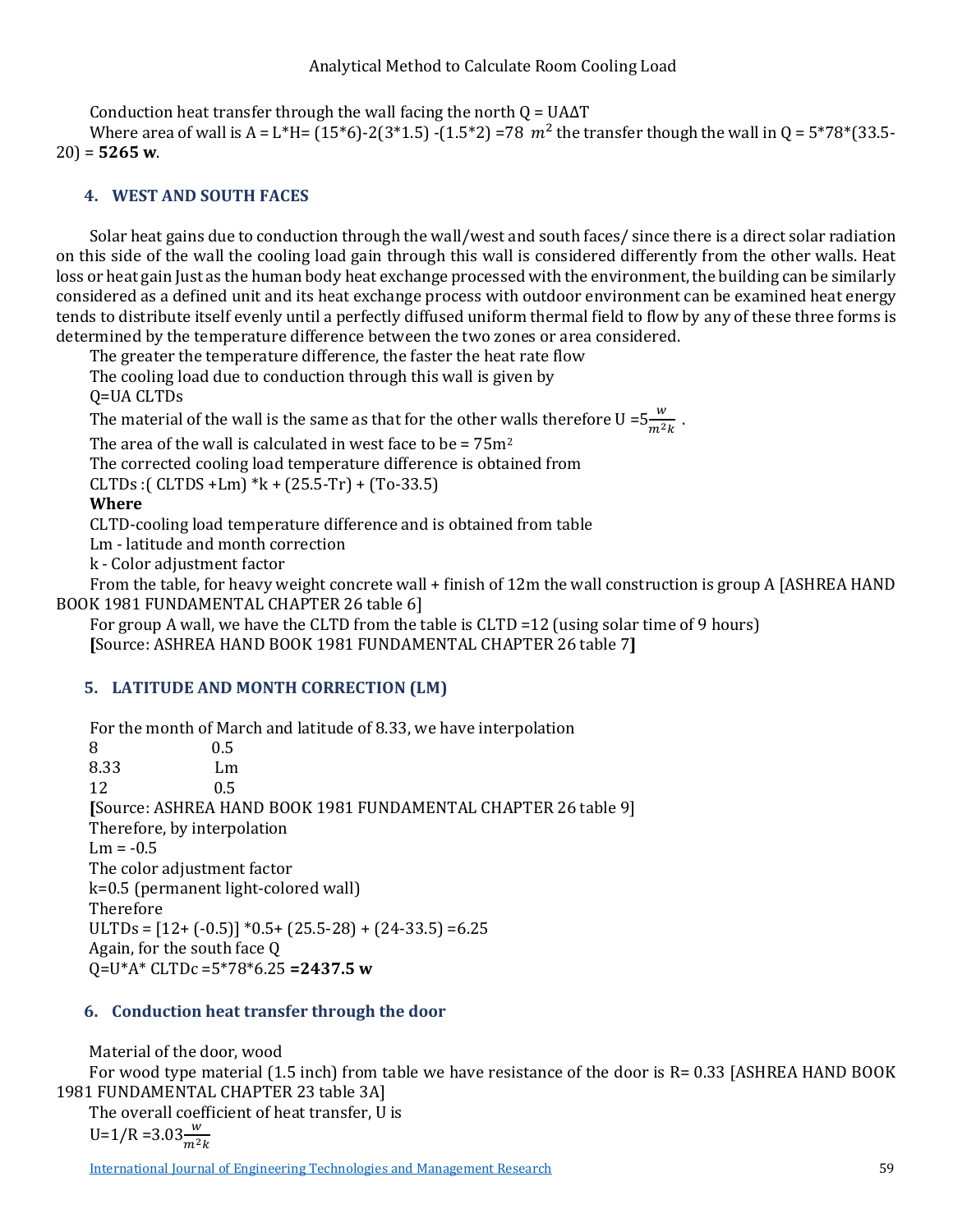#### Analytical Method to Calculate Room Cooling Load

Conduction heat transfer through the wall facing the north  $Q = UA\Delta T$ 

Where area of wall is A = L\*H=  $(15*6)$ -2(3\*1.5) -(1.5\*2) =78  $m^2$  the transfer though the wall in Q = 5\*78\*(33.5-20) = **5265 w**.

## **4. WEST AND SOUTH FACES**

Solar heat gains due to conduction through the wall/west and south faces/ since there is a direct solar radiation on this side of the wall the cooling load gain through this wall is considered differently from the other walls. Heat loss or heat gain Just as the human body heat exchange processed with the environment, the building can be similarly considered as a defined unit and its heat exchange process with outdoor environment can be examined heat energy tends to distribute itself evenly until a perfectly diffused uniform thermal field to flow by any of these three forms is determined by the temperature difference between the two zones or area considered.

The greater the temperature difference, the faster the heat rate flow

The cooling load due to conduction through this wall is given by

Q=UA CLTDs

The material of the wall is the same as that for the other walls therefore  $U = 5 \frac{w}{m^2 k}$ .

The area of the wall is calculated in west face to be =  $75m^2$ 

The corrected cooling load temperature difference is obtained from

CLTDs :( CLTDS +Lm)  $*$ k + (25.5-Tr) + (To-33.5)

**Where** 

CLTD-cooling load temperature difference and is obtained from table

Lm - latitude and month correction

k - Color adjustment factor

From the table, for heavy weight concrete wall + finish of 12m the wall construction is group A [ASHREA HAND BOOK 1981 FUNDAMENTAL CHAPTER 26 table 6]

For group A wall, we have the CLTD from the table is CLTD =12 (using solar time of 9 hours) **[**Source: ASHREA HAND BOOK 1981 FUNDAMENTAL CHAPTER 26 table 7**]** 

## **5. LATITUDE AND MONTH CORRECTION (LM)**

For the month of March and latitude of 8.33, we have interpolation  $\begin{array}{cc} 0.5 & 0.5 \end{array}$ 

8 0.5 8.33 Lm<br>12 0.5 12 0.5 **[**Source: ASHREA HAND BOOK 1981 FUNDAMENTAL CHAPTER 26 table 9] Therefore, by interpolation  $Lm = -0.5$ The color adjustment factor k=0.5 (permanent light-colored wall) Therefore ULTDs =  $[12 + (-0.5)] * 0.5 + (25.5 - 28) + (24 - 33.5) = 6.25$ Again, for the south face Q Q=U\*A\* CLTDc =5\*78\*6.25 **=2437.5 w**

#### **6. Conduction heat transfer through the door**

Material of the door, wood For wood type material (1.5 inch) from table we have resistance of the door is R= 0.33 [ASHREA HAND BOOK 1981 FUNDAMENTAL CHAPTER 23 table 3A] The overall coefficient of heat transfer, U is

$$
U=1/R=3.03 \frac{w}{m^2 k}
$$

[International Journal of Engineering Technologies and Management Research](https://www.granthaalayahpublication.org/ijetmr-ojms/index.php/ijetmr) 59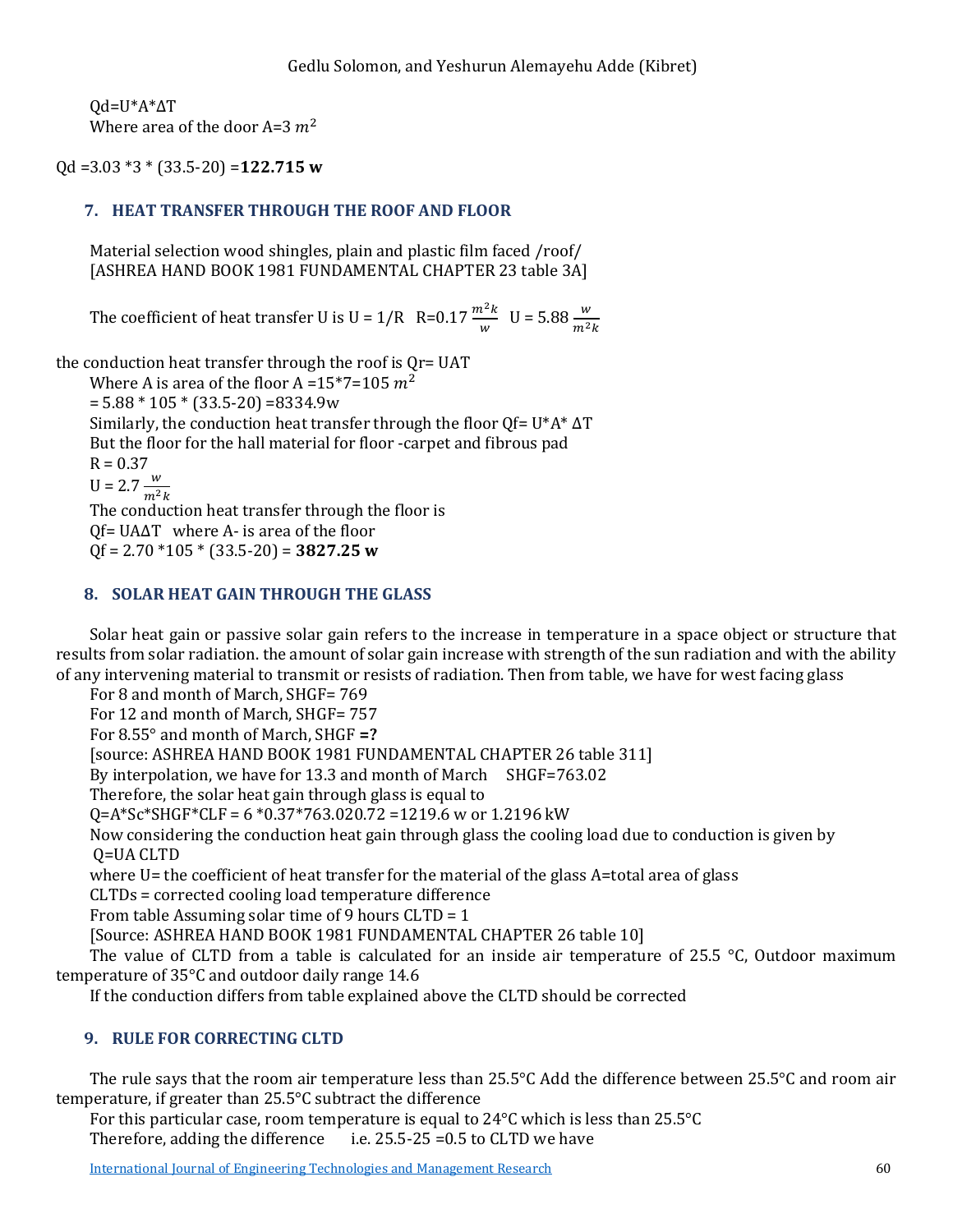Qd=U\*A\*∆T Where area of the door A=3  $m<sup>2</sup>$ 

Qd =3.03 \*3 \* (33.5-20) =**122.715 w**

## **7. HEAT TRANSFER THROUGH THE ROOF AND FLOOR**

Material selection wood shingles, plain and plastic film faced /roof/ [ASHREA HAND BOOK 1981 FUNDAMENTAL CHAPTER 23 table 3A]

The coefficient of heat transfer U is U =  $1/R$  R=0.17  $\frac{m^2 k}{w}$  U = 5.88  $\frac{w}{m^2 k}$ 

the conduction heat transfer through the roof is Qr= UAT Where A is area of the floor A =  $15*7=105$   $m<sup>2</sup>$ 

 $= 5.88 * 105 * (33.5 - 20) = 8334.9w$ 

Similarly, the conduction heat transfer through the floor Qf= U\*A\* ∆T

But the floor for the hall material for floor -carpet and fibrous pad

 $R = 0.37$ 

 $U = 2.7 \frac{w}{m^2 k}$ 

The conduction heat transfer through the floor is Qf= UA∆T where A- is area of the floor

Qf = 2.70 \*105 \* (33.5-20) = **3827.25 w**

#### **8. SOLAR HEAT GAIN THROUGH THE GLASS**

Solar heat gain or passive solar gain refers to the increase in temperature in a space object or structure that results from solar radiation. the amount of solar gain increase with strength of the sun radiation and with the ability of any intervening material to transmit or resists of radiation. Then from table, we have for west facing glass

For 8 and month of March, SHGF= 769

For 12 and month of March, SHGF= 757

For 8.55° and month of March, SHGF **=?**

[source: ASHREA HAND BOOK 1981 FUNDAMENTAL CHAPTER 26 table 311]

By interpolation, we have for 13.3 and month of March SHGF=763.02

Therefore, the solar heat gain through glass is equal to

Q=A\*Sc\*SHGF\*CLF = 6 \*0.37\*763.020.72 =1219.6 w or 1.2196 kW

Now considering the conduction heat gain through glass the cooling load due to conduction is given by Q=UA CLTD

where U= the coefficient of heat transfer for the material of the glass A=total area of glass

CLTDs = corrected cooling load temperature difference

From table Assuming solar time of 9 hours CLTD = 1

[Source: ASHREA HAND BOOK 1981 FUNDAMENTAL CHAPTER 26 table 10]

The value of CLTD from a table is calculated for an inside air temperature of 25.5 °C, Outdoor maximum temperature of 35°C and outdoor daily range 14.6

If the conduction differs from table explained above the CLTD should be corrected

## **9. RULE FOR CORRECTING CLTD**

The rule says that the room air temperature less than 25.5°C Add the difference between 25.5°C and room air temperature, if greater than 25.5°C subtract the difference

For this particular case, room temperature is equal to  $24^{\circ}$ C which is less than  $25.5^{\circ}$ C Therefore, adding the difference i.e.  $25.5^{\circ}$ 25 = 0.5 to CLTD we have i.e.  $25.5-25 = 0.5$  to CLTD we have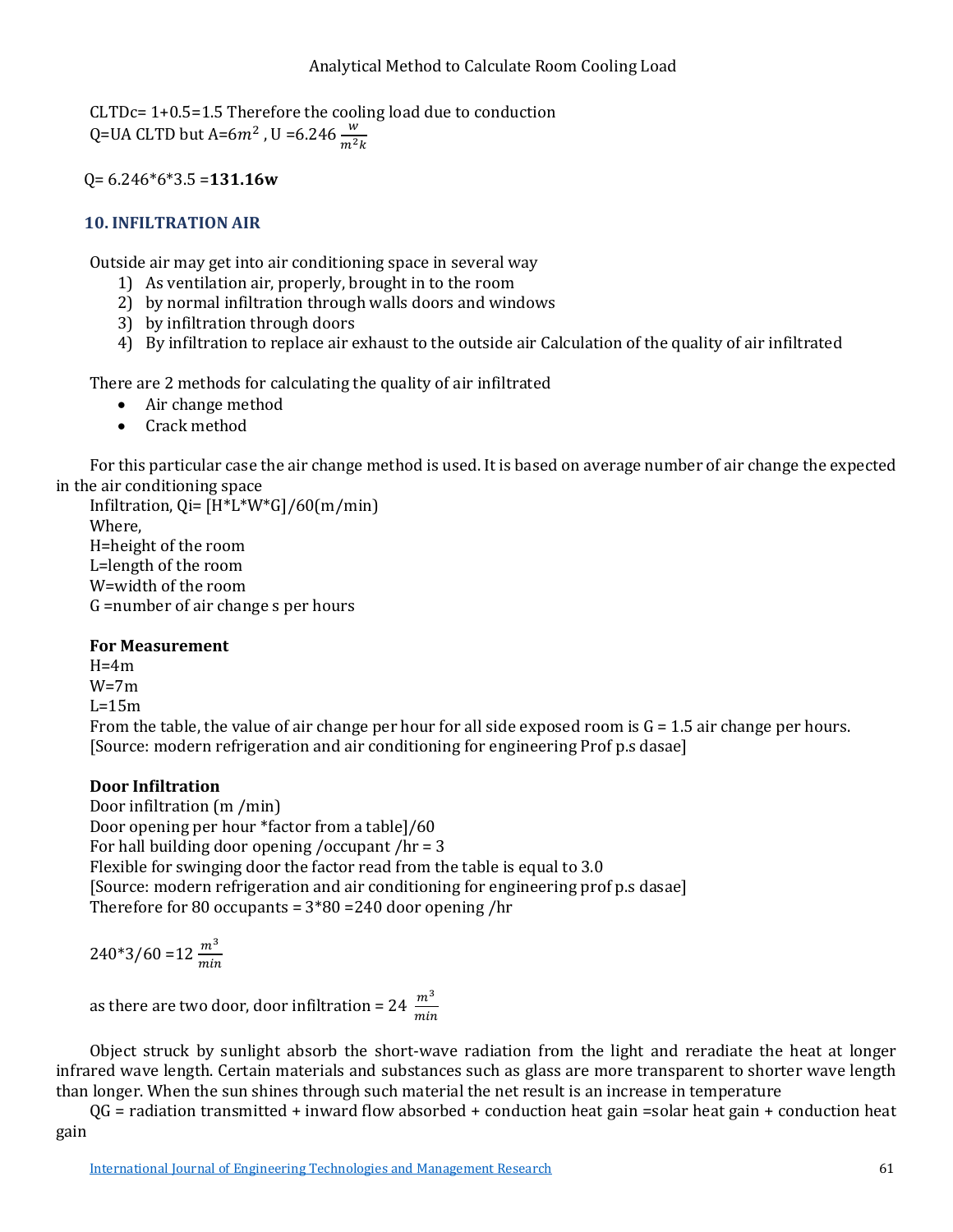CLTDc= 1+0.5=1.5 Therefore the cooling load due to conduction Q=UA CLTD but A=6 $m^2$  , U =6.246  $\frac{w}{m^2k}$ 

Q= 6.246\*6\*3.5 =**131.16w**

## **10. INFILTRATION AIR**

Outside air may get into air conditioning space in several way

- 1) As ventilation air, properly, brought in to the room
- 2) by normal infiltration through walls doors and windows
- 3) by infiltration through doors
- 4) By infiltration to replace air exhaust to the outside air Calculation of the quality of air infiltrated

There are 2 methods for calculating the quality of air infiltrated

- Air change method
- Crack method

For this particular case the air change method is used. It is based on average number of air change the expected in the air conditioning space

Infiltration,  $Q = [H^*L^*W^*G]/60(m/min)$ Where, H=height of the room L=length of the room W=width of the room G =number of air change s per hours

#### **For Measurement**

 $H=4m$ W=7m  $L=15m$ From the table, the value of air change per hour for all side exposed room is  $G = 1.5$  air change per hours. [Source: modern refrigeration and air conditioning for engineering Prof p.s dasae]

## **Door Infiltration**

Door infiltration (m /min) Door opening per hour \*factor from a table]/60 For hall building door opening /occupant /hr = 3 Flexible for swinging door the factor read from the table is equal to 3.0 [Source: modern refrigeration and air conditioning for engineering prof p.s dasae] Therefore for 80 occupants =  $3*80 = 240$  door opening /hr

 $240*3/60 = 12 \frac{m^3}{min}$ 

as there are two door, door infiltration = 24  $\frac{m^3}{min}$ 

Object struck by sunlight absorb the short-wave radiation from the light and reradiate the heat at longer infrared wave length. Certain materials and substances such as glass are more transparent to shorter wave length than longer. When the sun shines through such material the net result is an increase in temperature

 $QG$  = radiation transmitted + inward flow absorbed + conduction heat gain =solar heat gain + conduction heat gain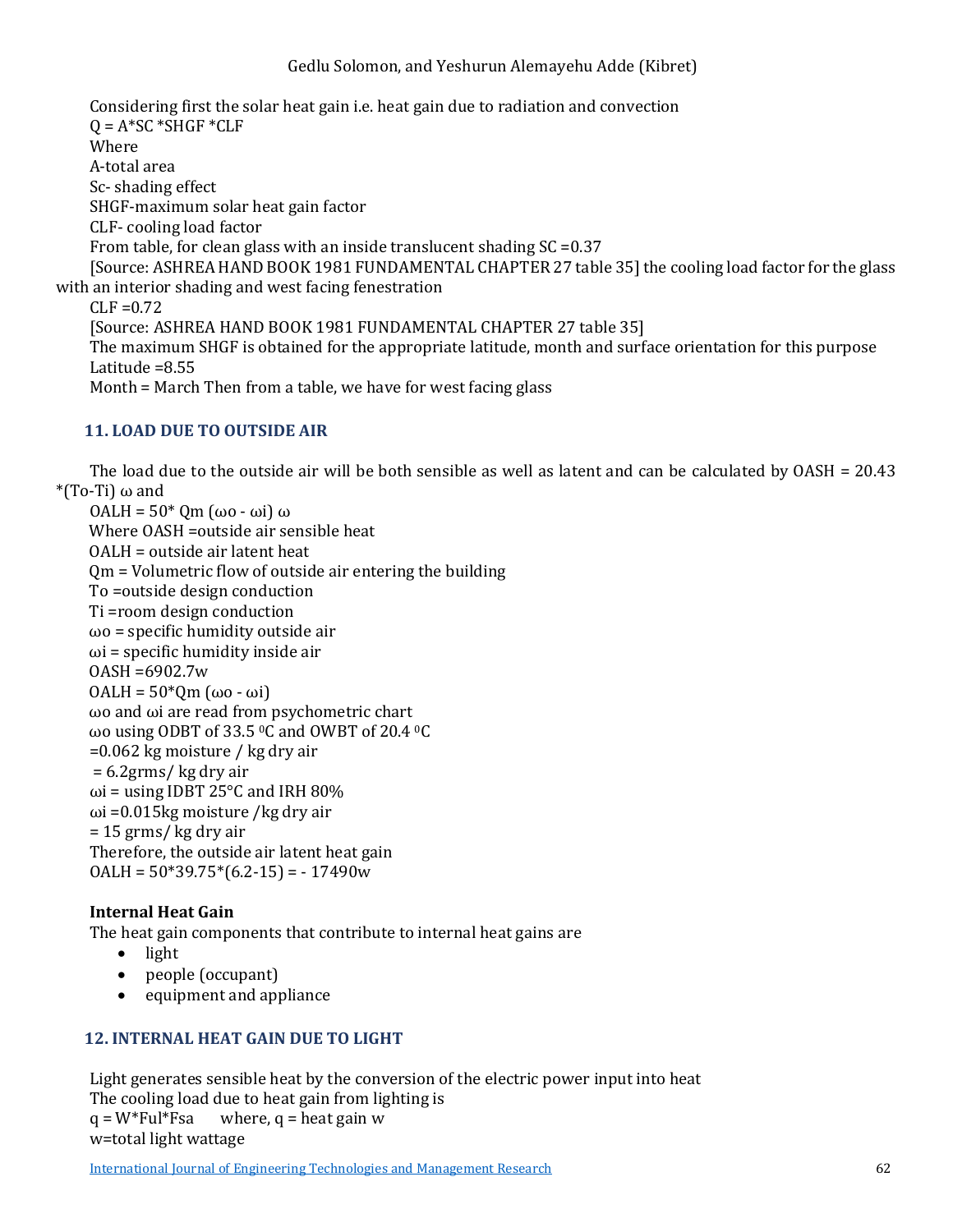Considering first the solar heat gain i.e. heat gain due to radiation and convection  $Q = A*SC*SHGF*CLF$ Where A-total area Sc- shading effect SHGF-maximum solar heat gain factor CLF- cooling load factor From table, for clean glass with an inside translucent shading SC =0.37 [Source: ASHREA HAND BOOK 1981 FUNDAMENTAL CHAPTER 27 table 35] the cooling load factor for the glass with an interior shading and west facing fenestration  $CLF = 0.72$ [Source: ASHREA HAND BOOK 1981 FUNDAMENTAL CHAPTER 27 table 35] The maximum SHGF is obtained for the appropriate latitude, month and surface orientation for this purpose Latitude =8.55

Month = March Then from a table, we have for west facing glass

#### **11. LOAD DUE TO OUTSIDE AIR**

The load due to the outside air will be both sensible as well as latent and can be calculated by OASH = 20.43 \*(To-Ti)  $\omega$  and

```
OALH = 50* Qm (ωo - ωi) ω
Where OASH =outside air sensible heat 
OALH = outside air latent heat 
Qm = Volumetric flow of outside air entering the building 
To =outside design conduction 
Ti =room design conduction 
ωo = specific humidity outside air 
\omegai = specific humidity inside air
OASH =6902.7w
OALH = 50*Qm (ωo - ωi) 
ωo and ωi are read from psychometric chart
ωo using ODBT of 33.5 0C and OWBT of 20.4 0C
=0.062 kg moisture / kg dry air
= 6.2grms/ kg dry air 
ωi = using IDBT 25°C and IRH 80%
ωi = 0.015 kg moisture / kg dry air
= 15 grms/ kg dry air 
Therefore, the outside air latent heat gain 
OALH = 50*39.75*(6.2-15) = -17490w
```
#### **Internal Heat Gain**

The heat gain components that contribute to internal heat gains are

- light
- people (occupant)
- equipment and appliance

### **12. INTERNAL HEAT GAIN DUE TO LIGHT**

Light generates sensible heat by the conversion of the electric power input into heat The cooling load due to heat gain from lighting is<br> $q = W^* \text{Full*} \text{Fsa}$  where,  $q = \text{heat gain w}$ where,  $q =$  heat gain w w=total light wattage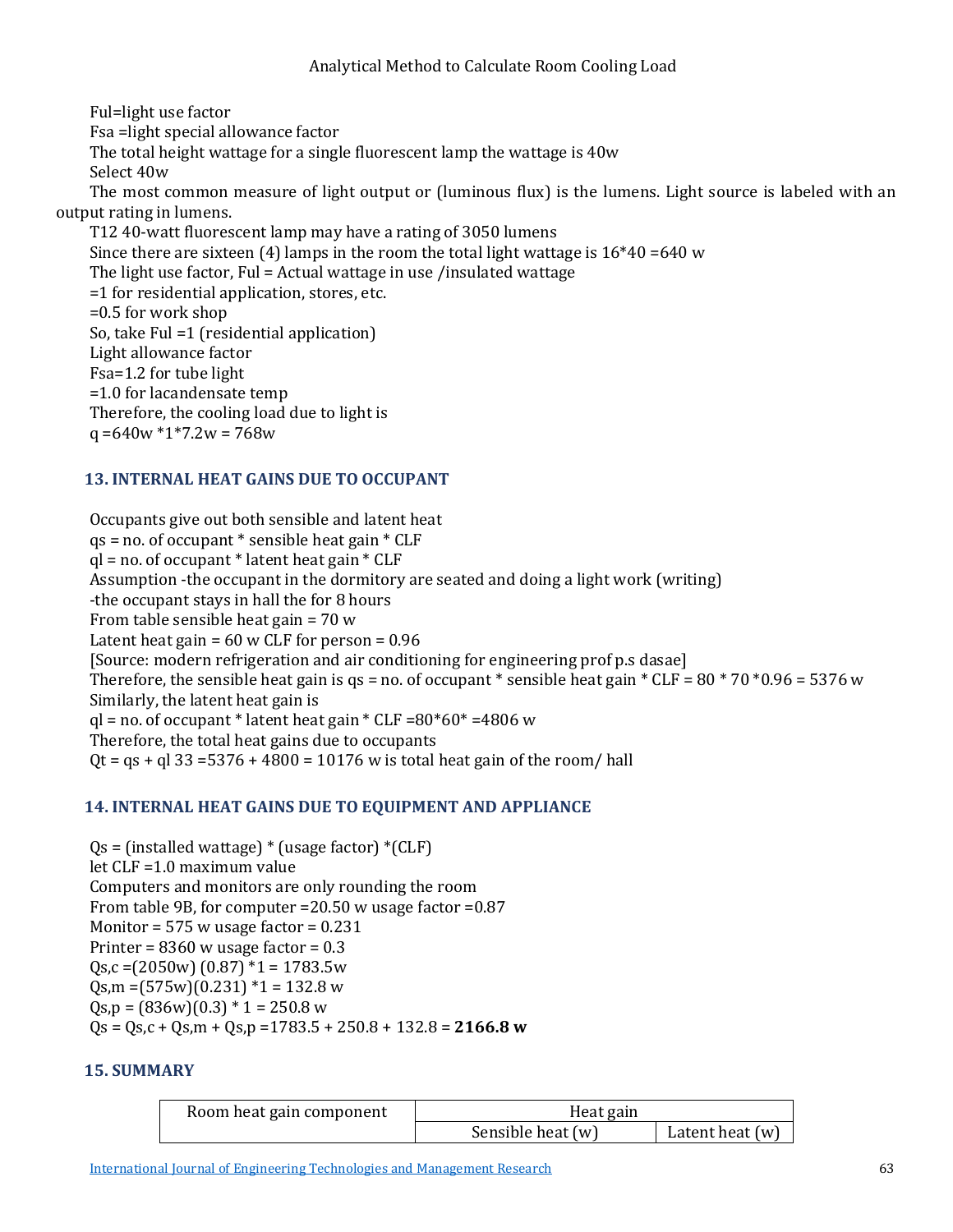Ful=light use factor Fsa =light special allowance factor The total height wattage for a single fluorescent lamp the wattage is 40w Select 40w The most common measure of light output or (luminous flux) is the lumens. Light source is labeled with an output rating in lumens. T12 40-watt fluorescent lamp may have a rating of 3050 lumens Since there are sixteen (4) lamps in the room the total light wattage is  $16*40 = 640$  w The light use factor, Ful = Actual wattage in use /insulated wattage =1 for residential application, stores, etc. =0.5 for work shop So, take Ful =1 (residential application) Light allowance factor Fsa=1.2 for tube light =1.0 for lacandensate temp Therefore, the cooling load due to light is  $q = 640w * 1 * 7.2w = 768w$ 

## **13. INTERNAL HEAT GAINS DUE TO OCCUPANT**

Occupants give out both sensible and latent heat  $qs = no.$  of occupant  $*$  sensible heat gain  $*$  CLF  $ql = no$ . of occupant  $*$  latent heat gain  $*$  CLF Assumption -the occupant in the dormitory are seated and doing a light work (writing) -the occupant stays in hall the for 8 hours From table sensible heat gain = 70 w Latent heat gain =  $60 \text{ w }$  CLF for person =  $0.96$ [Source: modern refrigeration and air conditioning for engineering prof p.s dasae] Therefore, the sensible heat gain is qs = no. of occupant \* sensible heat gain \*  $CLF = 80 * 70 * 0.96 = 5376$  w Similarly, the latent heat gain is  $q$ l = no. of occupant \* latent heat gain \* CLF = $80*60*$  =4806 w Therefore, the total heat gains due to occupants  $Qt = qs + gl$  33 = 5376 + 4800 = 10176 w is total heat gain of the room/hall

#### **14. INTERNAL HEAT GAINS DUE TO EQUIPMENT AND APPLIANCE**

 $Qs = (instead waterage) * (usage factor) * (CLF)$ let CLF =1.0 maximum value Computers and monitors are only rounding the room From table 9B, for computer =20.50 w usage factor =0.87 Monitor =  $575$  w usage factor =  $0.231$ Printer =  $8360$  w usage factor =  $0.3$  $Qs, c = (2050w) (0.87) *1 = 1783.5w$  $Qs$ ,m =(575w)(0.231) \*1 = 132.8 w  $Qs, p = (836w)(0.3) * 1 = 250.8 w$ Qs = Qs,c + Qs,m + Qs,p =1783.5 + 250.8 + 132.8 = **2166.8 w**

#### **15. SUMMARY**

| Room heat gain component | Heat gain         |                   |
|--------------------------|-------------------|-------------------|
|                          | Sensible heat (w) | Latent heat $(w)$ |